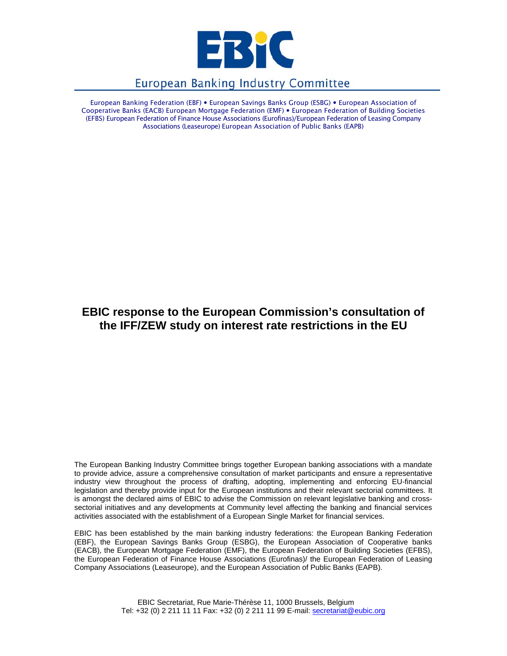

# **European Banking Industry Committee**

European Banking Federation (EBF) • European Savings Banks Group (ESBG) • European Association of Cooperative Banks (EACB) European Mortgage Federation (EMF) • European Federation of Building Societies (EFBS) European Federation of Finance House Associations (Eurofinas)/European Federation of Leasing Company Associations (Leaseurope) European Association of Public Banks (EAPB)

# **EBIC response to the European Commission's consultation of the IFF/ZEW study on interest rate restrictions in the EU**

The European Banking Industry Committee brings together European banking associations with a mandate to provide advice, assure a comprehensive consultation of market participants and ensure a representative industry view throughout the process of drafting, adopting, implementing and enforcing EU-financial legislation and thereby provide input for the European institutions and their relevant sectorial committees. It is amongst the declared aims of EBIC to advise the Commission on relevant legislative banking and crosssectorial initiatives and any developments at Community level affecting the banking and financial services activities associated with the establishment of a European Single Market for financial services.

EBIC has been established by the main banking industry federations: the European Banking Federation (EBF), the European Savings Banks Group (ESBG), the European Association of Cooperative banks (EACB), the European Mortgage Federation (EMF), the European Federation of Building Societies (EFBS), the European Federation of Finance House Associations (Eurofinas)/ the European Federation of Leasing Company Associations (Leaseurope), and the European Association of Public Banks (EAPB).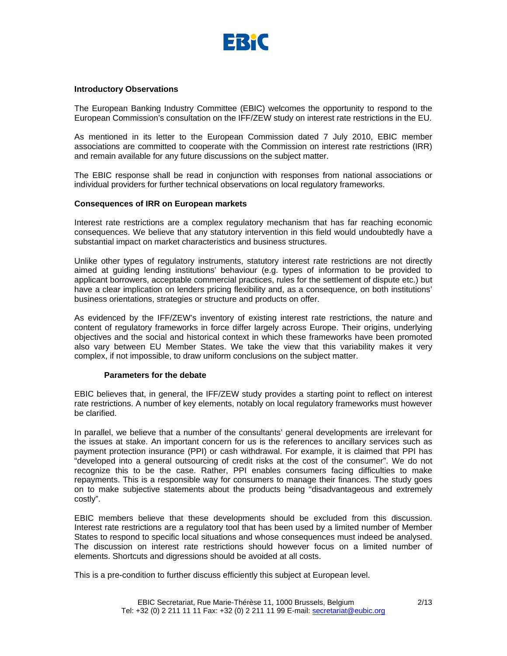

#### **Introductory Observations**

The European Banking Industry Committee (EBIC) welcomes the opportunity to respond to the European Commission's consultation on the IFF/ZEW study on interest rate restrictions in the EU.

As mentioned in its letter to the European Commission dated 7 July 2010, EBIC member associations are committed to cooperate with the Commission on interest rate restrictions (IRR) and remain available for any future discussions on the subject matter.

The EBIC response shall be read in conjunction with responses from national associations or individual providers for further technical observations on local regulatory frameworks.

## **Consequences of IRR on European markets**

Interest rate restrictions are a complex regulatory mechanism that has far reaching economic consequences. We believe that any statutory intervention in this field would undoubtedly have a substantial impact on market characteristics and business structures.

Unlike other types of regulatory instruments, statutory interest rate restrictions are not directly aimed at guiding lending institutions' behaviour (e.g. types of information to be provided to applicant borrowers, acceptable commercial practices, rules for the settlement of dispute etc.) but have a clear implication on lenders pricing flexibility and, as a consequence, on both institutions' business orientations, strategies or structure and products on offer.

As evidenced by the IFF/ZEW's inventory of existing interest rate restrictions, the nature and content of regulatory frameworks in force differ largely across Europe. Their origins, underlying objectives and the social and historical context in which these frameworks have been promoted also vary between EU Member States. We take the view that this variability makes it very complex, if not impossible, to draw uniform conclusions on the subject matter.

#### **Parameters for the debate**

EBIC believes that, in general, the IFF/ZEW study provides a starting point to reflect on interest rate restrictions. A number of key elements, notably on local regulatory frameworks must however be clarified.

In parallel, we believe that a number of the consultants' general developments are irrelevant for the issues at stake. An important concern for us is the references to ancillary services such as payment protection insurance (PPI) or cash withdrawal. For example, it is claimed that PPI has "developed into a general outsourcing of credit risks at the cost of the consumer". We do not recognize this to be the case. Rather, PPI enables consumers facing difficulties to make repayments. This is a responsible way for consumers to manage their finances. The study goes on to make subjective statements about the products being "disadvantageous and extremely costly".

EBIC members believe that these developments should be excluded from this discussion. Interest rate restrictions are a regulatory tool that has been used by a limited number of Member States to respond to specific local situations and whose consequences must indeed be analysed. The discussion on interest rate restrictions should however focus on a limited number of elements. Shortcuts and digressions should be avoided at all costs.

This is a pre-condition to further discuss efficiently this subject at European level.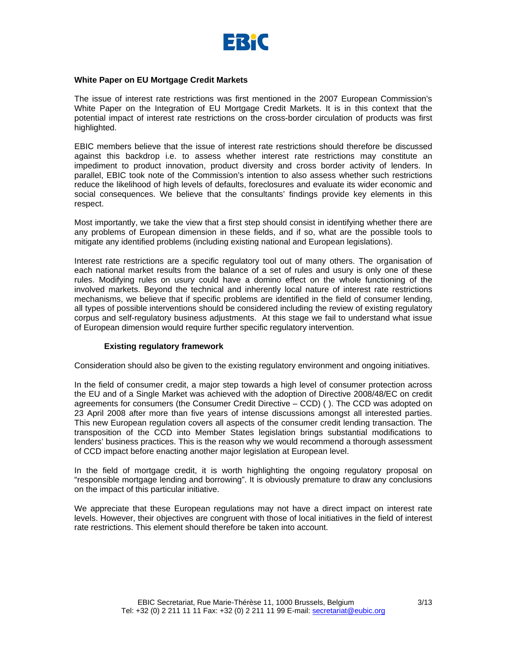

# **White Paper on EU Mortgage Credit Markets**

The issue of interest rate restrictions was first mentioned in the 2007 European Commission's White Paper on the Integration of EU Mortgage Credit Markets. It is in this context that the potential impact of interest rate restrictions on the cross-border circulation of products was first highlighted.

EBIC members believe that the issue of interest rate restrictions should therefore be discussed against this backdrop i.e. to assess whether interest rate restrictions may constitute an impediment to product innovation, product diversity and cross border activity of lenders. In parallel, EBIC took note of the Commission's intention to also assess whether such restrictions reduce the likelihood of high levels of defaults, foreclosures and evaluate its wider economic and social consequences. We believe that the consultants' findings provide key elements in this respect.

Most importantly, we take the view that a first step should consist in identifying whether there are any problems of European dimension in these fields, and if so, what are the possible tools to mitigate any identified problems (including existing national and European legislations).

Interest rate restrictions are a specific regulatory tool out of many others. The organisation of each national market results from the balance of a set of rules and usury is only one of these rules. Modifying rules on usury could have a domino effect on the whole functioning of the involved markets. Beyond the technical and inherently local nature of interest rate restrictions mechanisms, we believe that if specific problems are identified in the field of consumer lending, all types of possible interventions should be considered including the review of existing regulatory corpus and self-regulatory business adjustments. At this stage we fail to understand what issue of European dimension would require further specific regulatory intervention.

# **Existing regulatory framework**

Consideration should also be given to the existing regulatory environment and ongoing initiatives.

In the field of consumer credit, a major step towards a high level of consumer protection across the EU and of a Single Market was achieved with the adoption of Directive 2008/48/EC on credit agreements for consumers (the Consumer Credit Directive – CCD) ( ). The CCD was adopted on 23 April 2008 after more than five years of intense discussions amongst all interested parties. This new European regulation covers all aspects of the consumer credit lending transaction. The transposition of the CCD into Member States legislation brings substantial modifications to lenders' business practices. This is the reason why we would recommend a thorough assessment of CCD impact before enacting another major legislation at European level.

In the field of mortgage credit, it is worth highlighting the ongoing regulatory proposal on "responsible mortgage lending and borrowing". It is obviously premature to draw any conclusions on the impact of this particular initiative.

We appreciate that these European regulations may not have a direct impact on interest rate levels. However, their objectives are congruent with those of local initiatives in the field of interest rate restrictions. This element should therefore be taken into account.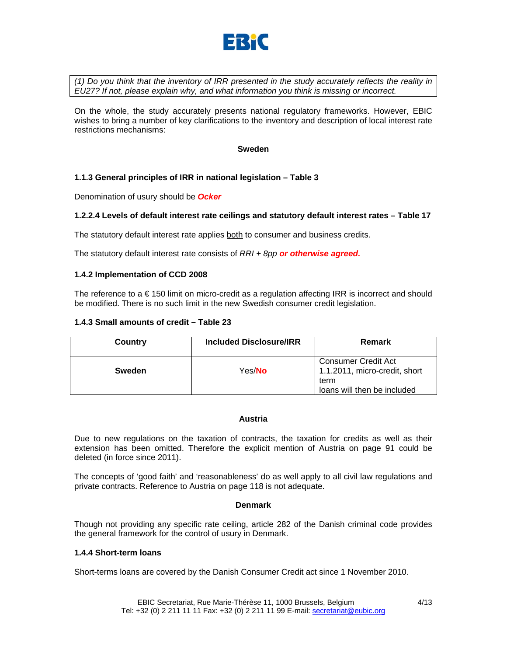

*(1) Do you think that the inventory of IRR presented in the study accurately reflects the reality in EU27? If not, please explain why, and what information you think is missing or incorrect.*

On the whole, the study accurately presents national regulatory frameworks. However, EBIC wishes to bring a number of key clarifications to the inventory and description of local interest rate restrictions mechanisms:

**Sweden** 

# **1.1.3 General principles of IRR in national legislation – Table 3**

Denomination of usury should be *Ocker*

# **1.2.2.4 Levels of default interest rate ceilings and statutory default interest rates – Table 17**

The statutory default interest rate applies both to consumer and business credits.

The statutory default interest rate consists of *RRI + 8pp or otherwise agreed.* 

## **1.4.2 Implementation of CCD 2008**

The reference to a € 150 limit on micro-credit as a regulation affecting IRR is incorrect and should be modified. There is no such limit in the new Swedish consumer credit legislation.

## **1.4.3 Small amounts of credit – Table 23**

| Country       | Included Disclosure/IRR | Remark                                                       |
|---------------|-------------------------|--------------------------------------------------------------|
| <b>Sweden</b> | Yes/ <b>No</b>          | Consumer Credit Act<br>1.1.2011, micro-credit, short<br>term |
|               |                         | loans will then be included                                  |

#### **Austria**

Due to new regulations on the taxation of contracts, the taxation for credits as well as their extension has been omitted. Therefore the explicit mention of Austria on page 91 could be deleted (in force since 2011).

The concepts of 'good faith' and 'reasonableness' do as well apply to all civil law regulations and private contracts. Reference to Austria on page 118 is not adequate.

#### **Denmark**

Though not providing any specific rate ceiling, article 282 of the Danish criminal code provides the general framework for the control of usury in Denmark.

#### **1.4.4 Short-term loans**

Short-terms loans are covered by the Danish Consumer Credit act since 1 November 2010.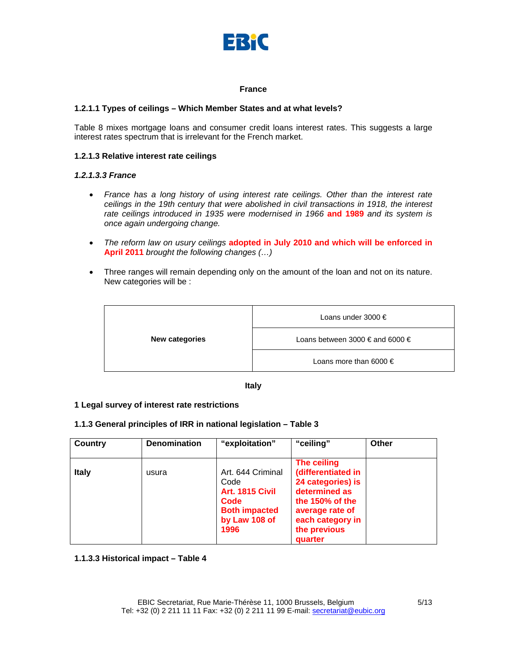

## **France**

# **1.2.1.1 Types of ceilings – Which Member States and at what levels?**

Table 8 mixes mortgage loans and consumer credit loans interest rates. This suggests a large interest rates spectrum that is irrelevant for the French market.

#### **1.2.1.3 Relative interest rate ceilings**

## *1.2.1.3.3 France*

- *France has a long history of using interest rate ceilings. Other than the interest rate ceilings in the 19th century that were abolished in civil transactions in 1918, the interest rate ceilings introduced in 1935 were modernised in 1966* **and 1989** *and its system is once again undergoing change.*
- *The reform law on usury ceilings* **adopted in July 2010 and which will be enforced in April 2011** *brought the following changes (…)*
- Three ranges will remain depending only on the amount of the loan and not on its nature. New categories will be :

| <b>New categories</b> | Loans under 3000 $\epsilon$     |  |
|-----------------------|---------------------------------|--|
|                       | Loans between 3000 € and 6000 € |  |
|                       | Loans more than 6000 $\in$      |  |

**Italy** 

#### **1 Legal survey of interest rate restrictions**

# **1.1.3 General principles of IRR in national legislation – Table 3**

| <b>Country</b> | <b>Denomination</b> | "exploitation"                                                                                        | "ceiling"                                                                                                                                                       | Other |
|----------------|---------------------|-------------------------------------------------------------------------------------------------------|-----------------------------------------------------------------------------------------------------------------------------------------------------------------|-------|
| <b>Italy</b>   | usura               | Art. 644 Criminal<br>Code<br>Art. 1815 Civil<br>Code<br><b>Both impacted</b><br>by Law 108 of<br>1996 | The ceiling<br>(differentiated in<br>24 categories) is<br>determined as<br>the $150\%$ of the<br>average rate of<br>each category in<br>the previous<br>quarter |       |

**1.1.3.3 Historical impact – Table 4**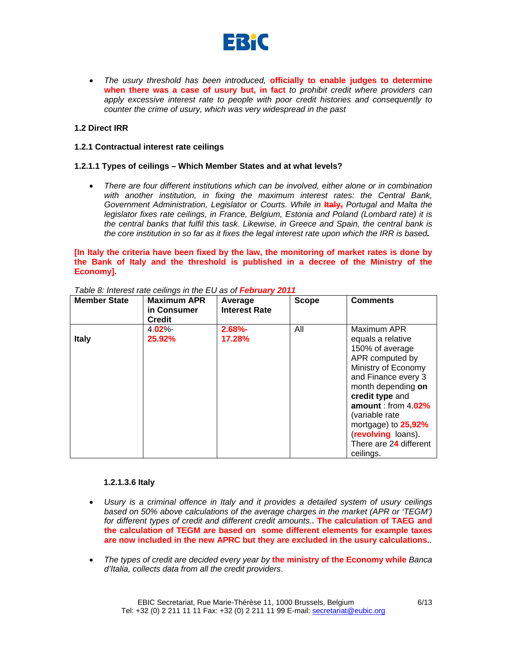

• *The usury threshold has been introduced,* **officially to enable judges to determine when there was a case of usury but, in fact** *to prohibit credit where providers can apply excessive interest rate to people with poor credit histories and consequently to counter the crime of usury, which was very widespread in the past* 

# **1.2 Direct IRR**

# **1.2.1 Contractual interest rate ceilings**

# **1.2.1.1 Types of ceilings – Which Member States and at what levels?**

• *There are four different institutions which can be involved, either alone or in combination with another institution, in fixing the maximum interest rates: the Central Bank, Government Administration, Legislator or Courts. While in*  $\frac{1}{2}$ *, Portugal and Malta the legislator fixes rate ceilings, in France, Belgium, Estonia and Poland (Lombard rate) it is the central banks that fulfil this task. Likewise, in Greece and Spain, the central bank is the core institution in so far as it fixes the legal interest rate upon which the IRR is based.*

# **[In Italy the criteria have been fixed by the law, the monitoring of market rates is done by the Bank of Italy and the threshold is published in a decree of the Ministry of the Economy].**

| <b>Member State</b> | <b>Maximum APR</b><br>in Consumer<br><b>Credit</b> | Average<br><b>Interest Rate</b> | <b>Scope</b> | <b>Comments</b>                                                                                                                                                                                                                                                                               |
|---------------------|----------------------------------------------------|---------------------------------|--------------|-----------------------------------------------------------------------------------------------------------------------------------------------------------------------------------------------------------------------------------------------------------------------------------------------|
| <b>Italy</b>        | $4.02\%$<br>25.92%                                 | $2.68% -$<br>17.28%             | All          | Maximum APR<br>equals a relative<br>150% of average<br>APR computed by<br>Ministry of Economy<br>and Finance every 3<br>month depending on<br>credit type and<br>amount: from $4.02\%$<br>(variable rate)<br>mortgage) to 25,92%<br>(revolving loans).<br>There are 24 different<br>ceilings. |

*Table 8: Interest rate ceilings in the EU as of February 2011*

# **1.2.1.3.6 Italy**

- *Usury is a criminal offence in Italy and it provides a detailed system of usury ceilings based on 50% above calculations of the average charges in the market (APR or 'TEGM') for different types of credit and different credit amounts.***. The calculation of TAEG and the calculation of TEGM are based on some different elements for example taxes are now included in the new APRC but they are excluded in the usury calculations.**.
- *The types of credit are decided every year by* **the ministry of the Economy while** *Banca d'Italia, collects data from all the credit providers*.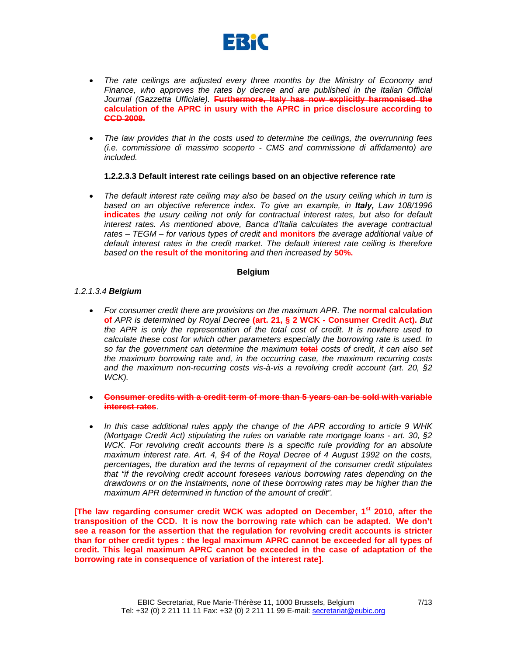

- *The rate ceilings are adjusted every three months by the Ministry of Economy and Finance, who approves the rates by decree and are published in the Italian Official Journal (Gazzetta Ufficiale).* **Furthermore, Italy has now explicitly harmonised the calculation of the APRC in usury with the APRC in price disclosure according to CCD 2008.**
- *The law provides that in the costs used to determine the ceilings, the overrunning fees (i.e. commissione di massimo scoperto - CMS and commissione di affidamento) are included.*

# **1.2.2.3.3 Default interest rate ceilings based on an objective reference rate**

• *The default interest rate ceiling may also be based on the usury ceiling which in turn is based on an objective reference index. To give an example, in Italy, Law 108/1996*  **indicates** *the usury ceiling not only for contractual interest rates, but also for default interest rates. As mentioned above, Banca d'Italia calculates the average contractual rates – TEGM – for various types of credit* **and monitors** *the average additional value of default interest rates in the credit market. The default interest rate ceiling is therefore based on* **the result of the monitoring** *and then increased by* **50%.**

#### **Belgium**

## *1.2.1.3.4 Belgium*

- For consumer credit there are provisions on the maximum APR. The **normal calculation of** *APR is determined by Royal Decree* **(art. 21, § 2 WCK - Consumer Credit Act).** *But the APR is only the representation of the total cost of credit. It is nowhere used to calculate these cost for which other parameters especially the borrowing rate is used. In so far the government can determine the maximum* **total** *costs of credit, it can also set the maximum borrowing rate and, in the occurring case, the maximum recurring costs and the maximum non-recurring costs vis-à-vis a revolving credit account (art. 20, §2 WCK).*
- **Consumer credits with a credit term of more than 5 years can be sold with variable interest rates**.
- *In this case additional rules apply the change of the APR according to article 9 WHK (Mortgage Credit Act) stipulating the rules on variable rate mortgage loans - art. 30, §2 WCK. For revolving credit accounts there is a specific rule providing for an absolute maximum interest rate. Art. 4, §4 of the Royal Decree of 4 August 1992 on the costs, percentages, the duration and the terms of repayment of the consumer credit stipulates that "if the revolving credit account foresees various borrowing rates depending on the drawdowns or on the instalments, none of these borrowing rates may be higher than the maximum APR determined in function of the amount of credit".*

**[The law regarding consumer credit WCK was adopted on December, 1st 2010, after the transposition of the CCD. It is now the borrowing rate which can be adapted. We don't see a reason for the assertion that the regulation for revolving credit accounts is stricter than for other credit types : the legal maximum APRC cannot be exceeded for all types of credit. This legal maximum APRC cannot be exceeded in the case of adaptation of the borrowing rate in consequence of variation of the interest rate].**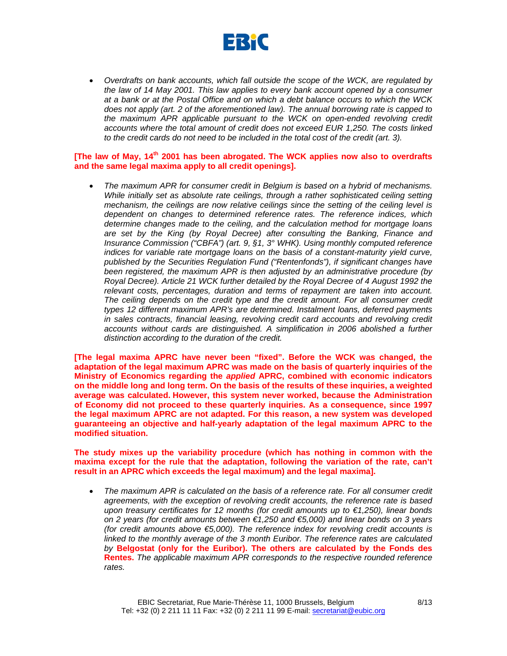

• *Overdrafts on bank accounts, which fall outside the scope of the WCK, are regulated by the law of 14 May 2001. This law applies to every bank account opened by a consumer at a bank or at the Postal Office and on which a debt balance occurs to which the WCK does not apply (art. 2 of the aforementioned law). The annual borrowing rate is capped to the maximum APR applicable pursuant to the WCK on open-ended revolving credit accounts where the total amount of credit does not exceed EUR 1,250. The costs linked to the credit cards do not need to be included in the total cost of the credit (art. 3).* 

# **[The law of May, 14th 2001 has been abrogated. The WCK applies now also to overdrafts and the same legal maxima apply to all credit openings].**

• *The maximum APR for consumer credit in Belgium is based on a hybrid of mechanisms. While initially set as absolute rate ceilings, through a rather sophisticated ceiling setting mechanism, the ceilings are now relative ceilings since the setting of the ceiling level is dependent on changes to determined reference rates. The reference indices, which determine changes made to the ceiling, and the calculation method for mortgage loans are set by the King (by Royal Decree) after consulting the Banking, Finance and Insurance Commission ("CBFA") (art. 9, §1, 3° WHK). Using monthly computed reference indices for variable rate mortgage loans on the basis of a constant-maturity yield curve, published by the Securities Regulation Fund ("Rentenfonds"), if significant changes have been registered, the maximum APR is then adjusted by an administrative procedure (by Royal Decree). Article 21 WCK further detailed by the Royal Decree of 4 August 1992 the relevant costs, percentages, duration and terms of repayment are taken into account. The ceiling depends on the credit type and the credit amount. For all consumer credit types 12 different maximum APR's are determined. Instalment loans, deferred payments in sales contracts, financial leasing, revolving credit card accounts and revolving credit accounts without cards are distinguished. A simplification in 2006 abolished a further distinction according to the duration of the credit.* 

**[The legal maxima APRC have never been "fixed". Before the WCK was changed, the adaptation of the legal maximum APRC was made on the basis of quarterly inquiries of the Ministry of Economics regarding the** *applied* **APRC, combined with economic indicators on the middle long and long term. On the basis of the results of these inquiries, a weighted average was calculated. However, this system never worked, because the Administration of Economy did not proceed to these quarterly inquiries. As a consequence, since 1997 the legal maximum APRC are not adapted. For this reason, a new system was developed guaranteeing an objective and half-yearly adaptation of the legal maximum APRC to the modified situation.** 

**The study mixes up the variability procedure (which has nothing in common with the maxima except for the rule that the adaptation, following the variation of the rate, can't result in an APRC which exceeds the legal maximum) and the legal maxima].** 

• *The maximum APR is calculated on the basis of a reference rate. For all consumer credit agreements, with the exception of revolving credit accounts, the reference rate is based upon treasury certificates for 12 months (for credit amounts up to €1,250), linear bonds on 2 years (for credit amounts between €1,250 and €5,000) and linear bonds on 3 years (for credit amounts above €5,000). The reference index for revolving credit accounts is linked to the monthly average of the 3 month Euribor. The reference rates are calculated by* **Belgostat (only for the Euribor). The others are calculated by the Fonds des Rentes.** *The applicable maximum APR corresponds to the respective rounded reference rates.*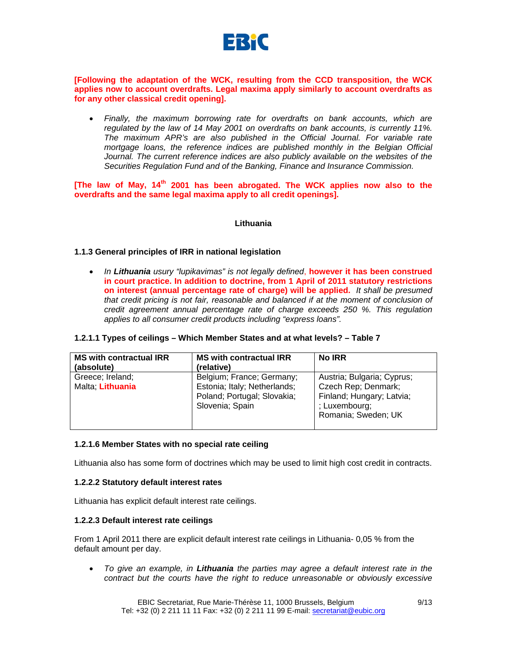

**[Following the adaptation of the WCK, resulting from the CCD transposition, the WCK applies now to account overdrafts. Legal maxima apply similarly to account overdrafts as for any other classical credit opening].** 

• *Finally, the maximum borrowing rate for overdrafts on bank accounts, which are regulated by the law of 14 May 2001 on overdrafts on bank accounts, is currently 11%. The maximum APR's are also published in the Official Journal. For variable rate mortgage loans, the reference indices are published monthly in the Belgian Official* Journal. The current reference indices are also publicly available on the websites of the *Securities Regulation Fund and of the Banking, Finance and Insurance Commission.* 

**[The law of May, 14th 2001 has been abrogated. The WCK applies now also to the overdrafts and the same legal maxima apply to all credit openings].** 

## **Lithuania**

## **1.1.3 General principles of IRR in national legislation**

• *In Lithuania usury "lupikavimas" is not legally defined*, **however it has been construed in court practice. In addition to doctrine, from 1 April of 2011 statutory restrictions on interest (annual percentage rate of charge) will be applied.** *It shall be presumed*  that credit pricing is not fair, reasonable and balanced if at the moment of conclusion of *credit agreement annual percentage rate of charge exceeds 250 %. This regulation applies to all consumer credit products including "express loans".*

|  |  |  | 1.2.1.1 Types of ceilings – Which Member States and at what levels? – Table 7 |
|--|--|--|-------------------------------------------------------------------------------|
|--|--|--|-------------------------------------------------------------------------------|

| <b>MS with contractual IRR</b><br>(absolute) | <b>MS with contractual IRR</b><br>(relative)                                                                | <b>No IRR</b>                                                                                                          |
|----------------------------------------------|-------------------------------------------------------------------------------------------------------------|------------------------------------------------------------------------------------------------------------------------|
| Greece; Ireland;<br>Malta; Lithuania         | Belgium; France; Germany;<br>Estonia; Italy; Netherlands;<br>Poland; Portugal; Slovakia;<br>Slovenia; Spain | Austria; Bulgaria; Cyprus;<br>Czech Rep; Denmark;<br>Finland; Hungary; Latvia;<br>; Luxembourg;<br>Romania; Sweden; UK |

#### **1.2.1.6 Member States with no special rate ceiling**

Lithuania also has some form of doctrines which may be used to limit high cost credit in contracts.

#### **1.2.2.2 Statutory default interest rates**

Lithuania has explicit default interest rate ceilings.

#### **1.2.2.3 Default interest rate ceilings**

From 1 April 2011 there are explicit default interest rate ceilings in Lithuania- 0,05 % from the default amount per day.

• *To give an example, in Lithuania the parties may agree a default interest rate in the contract but the courts have the right to reduce unreasonable or obviously excessive* 

EBIC Secretariat, Rue Marie-Thérèse 11, 1000 Brussels, Belgium Tel: +32 (0) 2 211 11 11 Fax: +32 (0) 2 211 11 99 E-mail: secretariat@eubic.org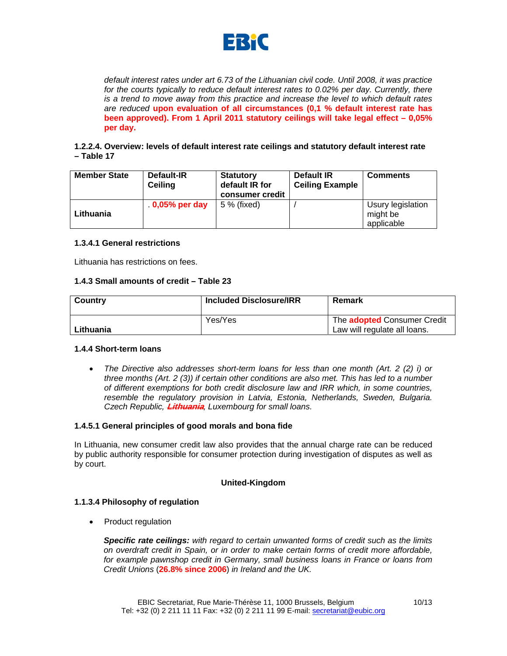

*default interest rates under art 6.73 of the Lithuanian civil code. Until 2008, it was practice*  for the courts typically to reduce default interest rates to 0.02% per day. Currently, there *is a trend to move away from this practice and increase the level to which default rates are reduced* **upon evaluation of all circumstances (0,1 % default interest rate has been approved). From 1 April 2011 statutory ceilings will take legal effect – 0,05% per day.**

# **1.2.2.4. Overview: levels of default interest rate ceilings and statutory default interest rate – Table 17**

| <b>Member State</b> | Default-IR<br>Ceiling | <b>Statutory</b><br>default IR for<br>consumer credit | <b>Default IR</b><br><b>Ceiling Example</b> | <b>Comments</b>                             |
|---------------------|-----------------------|-------------------------------------------------------|---------------------------------------------|---------------------------------------------|
| Lithuania           | $0.05\%$ per day      | 5 % (fixed)                                           |                                             | Usury legislation<br>might be<br>applicable |

# **1.3.4.1 General restrictions**

Lithuania has restrictions on fees.

# **1.4.3 Small amounts of credit – Table 23**

| Country   | <b>Included Disclosure/IRR</b> | Remark                                                             |
|-----------|--------------------------------|--------------------------------------------------------------------|
| Lithuania | Yes/Yes                        | The <b>adopted</b> Consumer Credit<br>Law will regulate all loans. |

# **1.4.4 Short-term loans**

• *The Directive also addresses short-term loans for less than one month (Art. 2 (2) i) or three months (Art. 2 (3)) if certain other conditions are also met. This has led to a number of different exemptions for both credit disclosure law and IRR which, in some countries, resemble the regulatory provision in Latvia, Estonia, Netherlands, Sweden, Bulgaria. Czech Republic,* **Lithuania***, Luxembourg for small loans.*

# **1.4.5.1 General principles of good morals and bona fide**

In Lithuania, new consumer credit law also provides that the annual charge rate can be reduced by public authority responsible for consumer protection during investigation of disputes as well as by court.

# **United-Kingdom**

# **1.1.3.4 Philosophy of regulation**

• Product regulation

*Specific rate ceilings: with regard to certain unwanted forms of credit such as the limits on overdraft credit in Spain, or in order to make certain forms of credit more affordable, for example pawnshop credit in Germany, small business loans in France or loans from Credit Unions* (**26.8% since 2006**) *in Ireland and the UK.*

10/13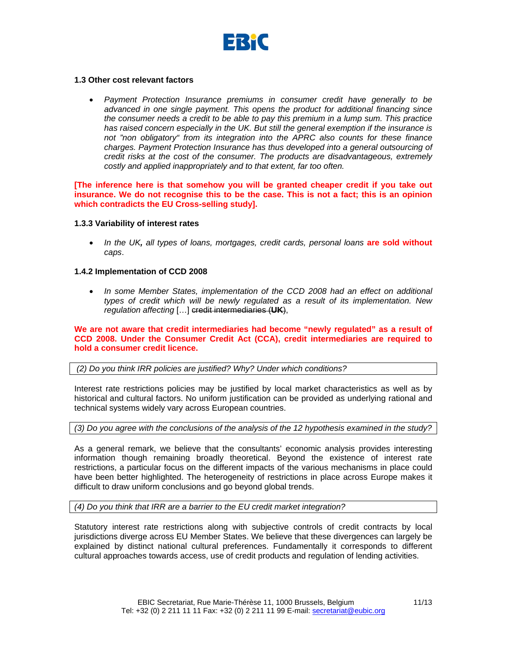

# **1.3 Other cost relevant factors**

• *Payment Protection Insurance premiums in consumer credit have generally to be advanced in one single payment. This opens the product for additional financing since the consumer needs a credit to be able to pay this premium in a lump sum. This practice has raised concern especially in the UK. But still the general exemption if the insurance is not "non obligatory" from its integration into the APRC also counts for these finance charges. Payment Protection Insurance has thus developed into a general outsourcing of credit risks at the cost of the consumer. The products are disadvantageous, extremely costly and applied inappropriately and to that extent, far too often.* 

**[The inference here is that somehow you will be granted cheaper credit if you take out insurance. We do not recognise this to be the case. This is not a fact; this is an opinion which contradicts the EU Cross-selling study].** 

## **1.3.3 Variability of interest rates**

• *In the UK, all types of loans, mortgages, credit cards, personal loans* **are sold without** *caps*.

## **1.4.2 Implementation of CCD 2008**

• *In some Member States, implementation of the CCD 2008 had an effect on additional types of credit which will be newly regulated as a result of its implementation. New regulation affecting* […] credit intermediaries (**UK**),

**We are not aware that credit intermediaries had become "newly regulated" as a result of CCD 2008. Under the Consumer Credit Act (CCA), credit intermediaries are required to hold a consumer credit licence.** 

# *(2) Do you think IRR policies are justified? Why? Under which conditions?*

Interest rate restrictions policies may be justified by local market characteristics as well as by historical and cultural factors. No uniform justification can be provided as underlying rational and technical systems widely vary across European countries.

*(3) Do you agree with the conclusions of the analysis of the 12 hypothesis examined in the study?* 

As a general remark, we believe that the consultants' economic analysis provides interesting information though remaining broadly theoretical. Beyond the existence of interest rate restrictions, a particular focus on the different impacts of the various mechanisms in place could have been better highlighted. The heterogeneity of restrictions in place across Europe makes it difficult to draw uniform conclusions and go beyond global trends.

*(4) Do you think that IRR are a barrier to the EU credit market integration?* 

Statutory interest rate restrictions along with subjective controls of credit contracts by local jurisdictions diverge across EU Member States. We believe that these divergences can largely be explained by distinct national cultural preferences. Fundamentally it corresponds to different cultural approaches towards access, use of credit products and regulation of lending activities.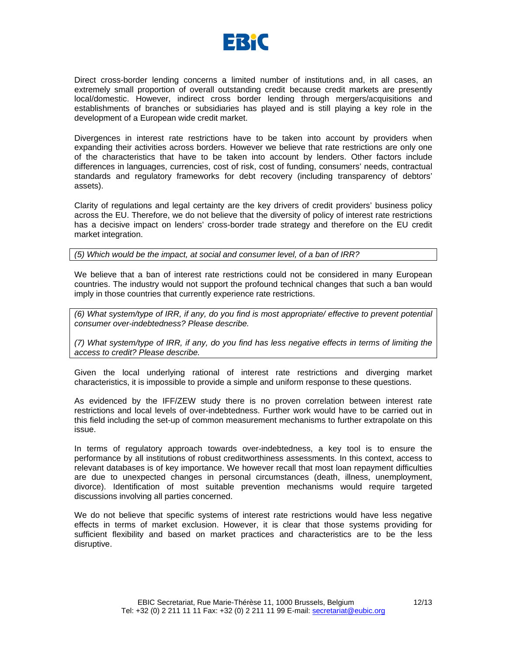

Direct cross-border lending concerns a limited number of institutions and, in all cases, an extremely small proportion of overall outstanding credit because credit markets are presently local/domestic. However, indirect cross border lending through mergers/acquisitions and establishments of branches or subsidiaries has played and is still playing a key role in the development of a European wide credit market.

Divergences in interest rate restrictions have to be taken into account by providers when expanding their activities across borders. However we believe that rate restrictions are only one of the characteristics that have to be taken into account by lenders. Other factors include differences in languages, currencies, cost of risk, cost of funding, consumers' needs, contractual standards and regulatory frameworks for debt recovery (including transparency of debtors' assets).

Clarity of regulations and legal certainty are the key drivers of credit providers' business policy across the EU. Therefore, we do not believe that the diversity of policy of interest rate restrictions has a decisive impact on lenders' cross-border trade strategy and therefore on the EU credit market integration.

*(5) Which would be the impact, at social and consumer level, of a ban of IRR?* 

We believe that a ban of interest rate restrictions could not be considered in many European countries. The industry would not support the profound technical changes that such a ban would imply in those countries that currently experience rate restrictions.

*(6) What system/type of IRR, if any, do you find is most appropriate/ effective to prevent potential consumer over-indebtedness? Please describe.* 

*(7) What system/type of IRR, if any, do you find has less negative effects in terms of limiting the access to credit? Please describe.* 

Given the local underlying rational of interest rate restrictions and diverging market characteristics, it is impossible to provide a simple and uniform response to these questions.

As evidenced by the IFF/ZEW study there is no proven correlation between interest rate restrictions and local levels of over-indebtedness. Further work would have to be carried out in this field including the set-up of common measurement mechanisms to further extrapolate on this issue.

In terms of regulatory approach towards over-indebtedness, a key tool is to ensure the performance by all institutions of robust creditworthiness assessments. In this context, access to relevant databases is of key importance. We however recall that most loan repayment difficulties are due to unexpected changes in personal circumstances (death, illness, unemployment, divorce). Identification of most suitable prevention mechanisms would require targeted discussions involving all parties concerned.

We do not believe that specific systems of interest rate restrictions would have less negative effects in terms of market exclusion. However, it is clear that those systems providing for sufficient flexibility and based on market practices and characteristics are to be the less disruptive.

12/13